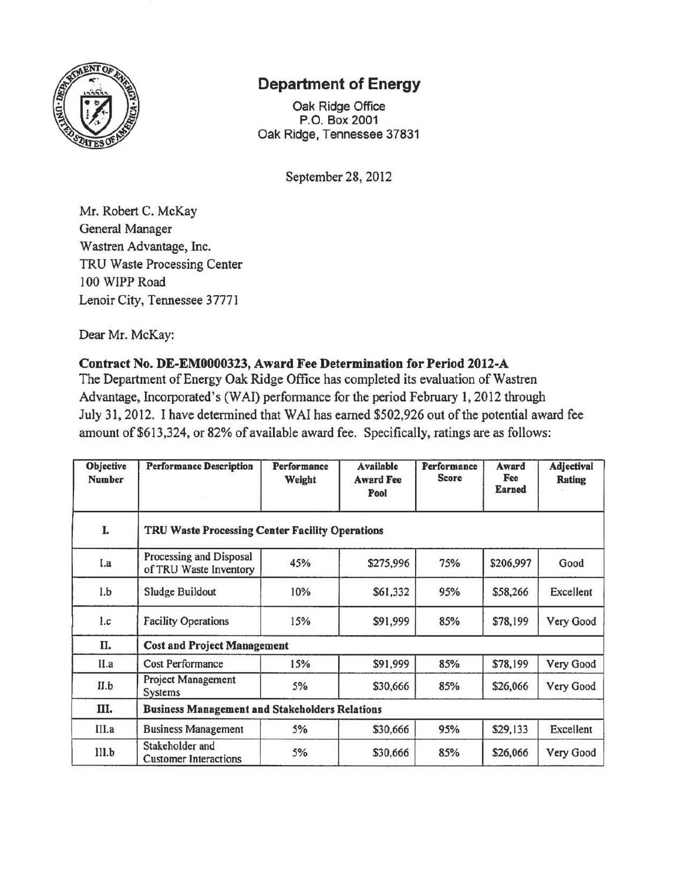

## **Department of Energy**

Oak Ridge Office P.O. Box 2001 Oak Ridge, Tennessee 37831

September 28, 2012

Mr. Robert C. McKay General Manager Wastren Advantage, Inc. TRU Waste Processing Center 100 WIPP Road Lenoir City, Tennessee 37771

Dear Mr. McKay:

## **Contract No. DE-EM0000323, Award Fee Determination for Period 2012-A**

The Department of Energy Oak Ridge Office has completed its evaluation of Wastren Advantage, Incorporated's (WAI) performance for the period February 1, 2012 through July 31, 2012. I have determined that WAI has earned \$502,926 out of the potential award fee amount of \$613,324, or 82% of available award fee. Specifically, ratings are as follows:

| <b>Objective</b><br><b>Number</b> | <b>Performance Description</b>                        | <b>Performance</b><br>Weight | <b>Available</b><br><b>Award Fee</b><br>Pool | Performance<br><b>Score</b> | Award<br>Fee<br>Earned | Adjectival<br><b>Rating</b> |
|-----------------------------------|-------------------------------------------------------|------------------------------|----------------------------------------------|-----------------------------|------------------------|-----------------------------|
| I.                                | TRU Waste Processing Center Facility Operations       |                              |                                              |                             |                        |                             |
| I.a                               | Processing and Disposal<br>of TRU Waste Inventory     | 45%                          | \$275,996                                    | 75%                         | \$206,997              | Good                        |
| 1.b                               | Sludge Buildout                                       | 10%                          | \$61,332                                     | 95%                         | \$58,266               | Excellent                   |
| 1.c                               | <b>Facility Operations</b>                            | 15%                          | \$91,999                                     | 85%                         | \$78,199               | Very Good                   |
| П.                                | <b>Cost and Project Management</b>                    |                              |                                              |                             |                        |                             |
| II.a                              | <b>Cost Performance</b>                               | 15%                          | \$91,999                                     | 85%                         | \$78,199               | Very Good                   |
| II.b                              | <b>Project Management</b><br><b>Systems</b>           | 5%                           | \$30,666                                     | 85%                         | \$26,066               | Very Good                   |
| Ш.                                | <b>Business Management and Stakeholders Relations</b> |                              |                                              |                             |                        |                             |
| III.a                             | <b>Business Management</b>                            | 5%                           | \$30,666                                     | 95%                         | \$29,133               | Excellent                   |
| III.b                             | Stakeholder and<br><b>Customer Interactions</b>       | 5%                           | \$30,666                                     | 85%                         | \$26,066               | Very Good                   |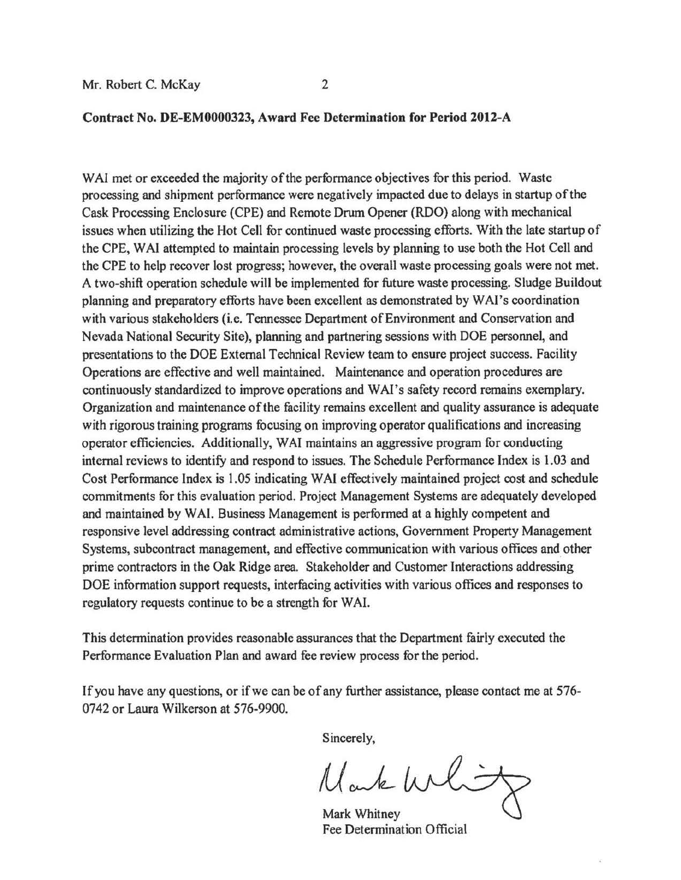## **Contract No. DE-EM0000323, Award Fee Determination for Period 2012-A**

WAI met or exceeded the majority of the performance objectives for this period. Waste processing and shipment performance were negatively impacted due to delays in startup ofthe Cask Processing Enclosure (CPE) and Remote Drum Opener (RDO) along with mechanical issues when utilizing the Hot Cell for continued waste processing efforts. With the late startup of the CPE, W Al attempted to maintain processing levels by planning to use both the Hot Cell and the CPE to help recover lost progress; however, the overall waste processing goals were not met. A two-shift operation schedule will be implemented for future waste processing. Sludge Buildout planning and preparatory efforts have been excellent as demonstrated by WAl's coordination with various stakeholders (i.e. Tennessee Department of Environment and Conservation and Nevada National Security Site), planning and partnering sessions with DOE personnel, and presentations to the DOE External Technical Review team to ensure project success. Facility Operations are effective and well maintained. Maintenance and operation procedures are continuously standardized to improve operations and WAI's safety record remains exemplary. Organization and maintenance ofthe facility remains excellent and quality assurance is adequate with rigorous training programs focusing on improving operator qualifications and increasing operator efficiencies. Additionally, W Al maintains an aggressive program for conducting internal reviews to identify and respond to issues. The Schedule Performance Index is 1.03 and Cost Performance Index is 1.05 indicating W Al effectively maintained project cost and schedule commitments for this evaluation period. Project Management Systems are adequately developed and maintained by WAI. Business Management is performed at a highly competent and responsive level addressing contract administrative actions, Government Property Management Systems, subcontract management, and effective communication with various offices and other prime contractors in the Oak Ridge area. Stakeholder and Customer Interactions addressing DOE information support requests, interfacing activities with various offices and responses to regulatory requests continue to be a strength for WAI.

This detennination provides reasonable assurances that the Department fairly executed the Performance Evaluation Plan and award fee review process for the period.

If you have any questions, or if we can be of any further assistance, please contact me at 576-0742 or Laura Wilkerson at 576-9900.

Sincerely,

Mark Whit

Mark Whitney Fee Determination Official